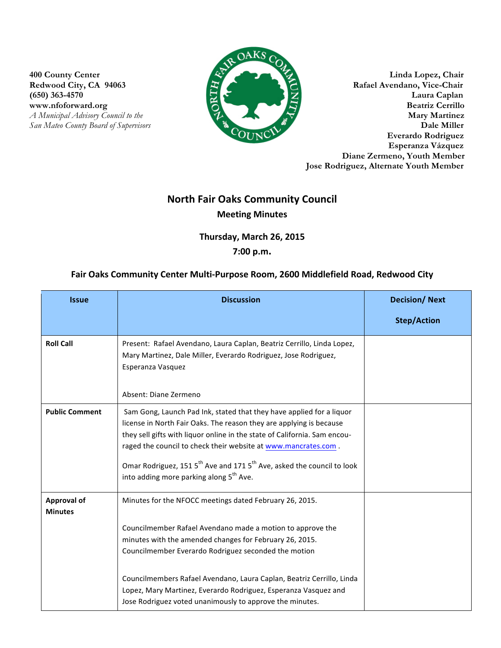**(650) 363-4570** 



**400 County Center Linda Lopez, Chair** Redwood City, CA 94063 Rafael Avendano, Vice-Chair<br>
(650) 363-4570 Laura Caplan www.nfoforward.org Beatriz Cerrillo *A Municipal Advisory Council to the Mary Martinez San Mateo County Board of Supervisors* **Dale Miller Everardo Rodriguez Esperanza Vázquez Diane Zermeno, Youth Member Jose Rodriguez, Alternate Youth Member**

## **North Fair Oaks Community Council Meeting Minutes**

**Thursday, March 26, 2015** 

## **7:00 p.m.**

## Fair Oaks Community Center Multi-Purpose Room, 2600 Middlefield Road, Redwood City

| <b>Issue</b>                         | <b>Discussion</b>                                                                                                                                                                                                                                                                                                                                                                                                                                   | <b>Decision/Next</b> |
|--------------------------------------|-----------------------------------------------------------------------------------------------------------------------------------------------------------------------------------------------------------------------------------------------------------------------------------------------------------------------------------------------------------------------------------------------------------------------------------------------------|----------------------|
|                                      |                                                                                                                                                                                                                                                                                                                                                                                                                                                     | <b>Step/Action</b>   |
| <b>Roll Call</b>                     | Present: Rafael Avendano, Laura Caplan, Beatriz Cerrillo, Linda Lopez,<br>Mary Martinez, Dale Miller, Everardo Rodriguez, Jose Rodriguez,<br>Esperanza Vasquez<br>Absent: Diane Zermeno                                                                                                                                                                                                                                                             |                      |
| <b>Public Comment</b>                | Sam Gong, Launch Pad Ink, stated that they have applied for a liquor<br>license in North Fair Oaks. The reason they are applying is because<br>they sell gifts with liquor online in the state of California. Sam encou-<br>raged the council to check their website at www.mancrates.com.<br>Omar Rodriguez, 151 5 <sup>th</sup> Ave and 171 5 <sup>th</sup> Ave, asked the council to look<br>into adding more parking along 5 <sup>th</sup> Ave. |                      |
| <b>Approval of</b><br><b>Minutes</b> | Minutes for the NFOCC meetings dated February 26, 2015.<br>Councilmember Rafael Avendano made a motion to approve the                                                                                                                                                                                                                                                                                                                               |                      |
|                                      | minutes with the amended changes for February 26, 2015.<br>Councilmember Everardo Rodriguez seconded the motion                                                                                                                                                                                                                                                                                                                                     |                      |
|                                      | Councilmembers Rafael Avendano, Laura Caplan, Beatriz Cerrillo, Linda<br>Lopez, Mary Martinez, Everardo Rodriguez, Esperanza Vasquez and<br>Jose Rodriguez voted unanimously to approve the minutes.                                                                                                                                                                                                                                                |                      |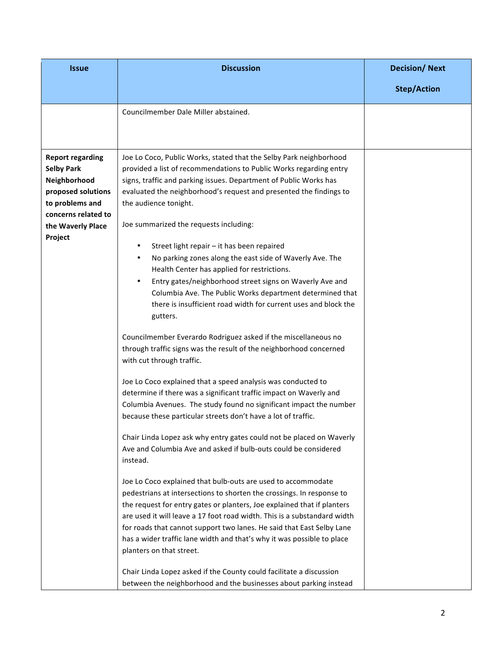| <b>Issue</b>                                                                                                                                                 | <b>Discussion</b>                                                                                                                                                                                                                                                                                                                                                                                                                                                                                                                                                                                                                                                                                                                                                                                                                                                                                                                                                                                                                                                                                                                                                                                                                                                                                                                                                                                                                                                                                                                                                                                                                                                                                                                                                                                                                                                                                                                                                                  | <b>Decision/Next</b> |
|--------------------------------------------------------------------------------------------------------------------------------------------------------------|------------------------------------------------------------------------------------------------------------------------------------------------------------------------------------------------------------------------------------------------------------------------------------------------------------------------------------------------------------------------------------------------------------------------------------------------------------------------------------------------------------------------------------------------------------------------------------------------------------------------------------------------------------------------------------------------------------------------------------------------------------------------------------------------------------------------------------------------------------------------------------------------------------------------------------------------------------------------------------------------------------------------------------------------------------------------------------------------------------------------------------------------------------------------------------------------------------------------------------------------------------------------------------------------------------------------------------------------------------------------------------------------------------------------------------------------------------------------------------------------------------------------------------------------------------------------------------------------------------------------------------------------------------------------------------------------------------------------------------------------------------------------------------------------------------------------------------------------------------------------------------------------------------------------------------------------------------------------------------|----------------------|
|                                                                                                                                                              |                                                                                                                                                                                                                                                                                                                                                                                                                                                                                                                                                                                                                                                                                                                                                                                                                                                                                                                                                                                                                                                                                                                                                                                                                                                                                                                                                                                                                                                                                                                                                                                                                                                                                                                                                                                                                                                                                                                                                                                    | <b>Step/Action</b>   |
|                                                                                                                                                              | Councilmember Dale Miller abstained.                                                                                                                                                                                                                                                                                                                                                                                                                                                                                                                                                                                                                                                                                                                                                                                                                                                                                                                                                                                                                                                                                                                                                                                                                                                                                                                                                                                                                                                                                                                                                                                                                                                                                                                                                                                                                                                                                                                                               |                      |
| <b>Report regarding</b><br><b>Selby Park</b><br>Neighborhood<br>proposed solutions<br>to problems and<br>concerns related to<br>the Waverly Place<br>Project | Joe Lo Coco, Public Works, stated that the Selby Park neighborhood<br>provided a list of recommendations to Public Works regarding entry<br>signs, traffic and parking issues. Department of Public Works has<br>evaluated the neighborhood's request and presented the findings to<br>the audience tonight.<br>Joe summarized the requests including:<br>Street light repair - it has been repaired<br>٠<br>No parking zones along the east side of Waverly Ave. The<br>٠<br>Health Center has applied for restrictions.<br>Entry gates/neighborhood street signs on Waverly Ave and<br>$\bullet$<br>Columbia Ave. The Public Works department determined that<br>there is insufficient road width for current uses and block the<br>gutters.<br>Councilmember Everardo Rodriguez asked if the miscellaneous no<br>through traffic signs was the result of the neighborhood concerned<br>with cut through traffic.<br>Joe Lo Coco explained that a speed analysis was conducted to<br>determine if there was a significant traffic impact on Waverly and<br>Columbia Avenues. The study found no significant impact the number<br>because these particular streets don't have a lot of traffic.<br>Chair Linda Lopez ask why entry gates could not be placed on Waverly<br>Ave and Columbia Ave and asked if bulb-outs could be considered<br>instead.<br>Joe Lo Coco explained that bulb-outs are used to accommodate<br>pedestrians at intersections to shorten the crossings. In response to<br>the request for entry gates or planters, Joe explained that if planters<br>are used it will leave a 17 foot road width. This is a substandard width<br>for roads that cannot support two lanes. He said that East Selby Lane<br>has a wider traffic lane width and that's why it was possible to place<br>planters on that street.<br>Chair Linda Lopez asked if the County could facilitate a discussion<br>between the neighborhood and the businesses about parking instead |                      |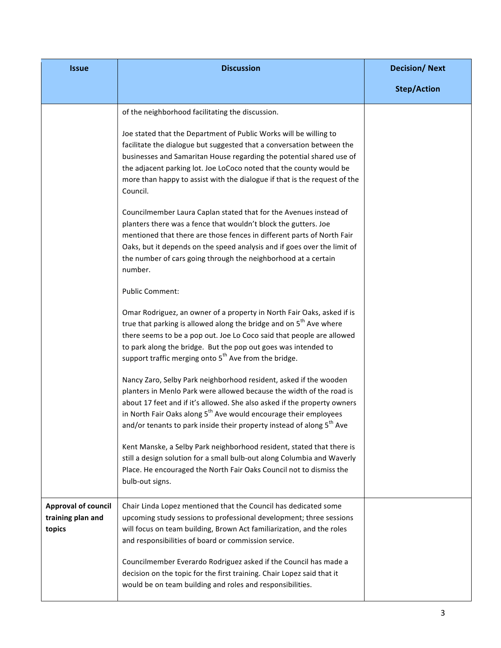| <b>Issue</b>                                              | <b>Discussion</b>                                                                                                                                                                                                                                                                                                                                                                          | <b>Decision/Next</b> |
|-----------------------------------------------------------|--------------------------------------------------------------------------------------------------------------------------------------------------------------------------------------------------------------------------------------------------------------------------------------------------------------------------------------------------------------------------------------------|----------------------|
|                                                           |                                                                                                                                                                                                                                                                                                                                                                                            | <b>Step/Action</b>   |
|                                                           | of the neighborhood facilitating the discussion.                                                                                                                                                                                                                                                                                                                                           |                      |
|                                                           | Joe stated that the Department of Public Works will be willing to<br>facilitate the dialogue but suggested that a conversation between the<br>businesses and Samaritan House regarding the potential shared use of<br>the adjacent parking lot. Joe LoCoco noted that the county would be<br>more than happy to assist with the dialogue if that is the request of the<br>Council.         |                      |
|                                                           | Councilmember Laura Caplan stated that for the Avenues instead of<br>planters there was a fence that wouldn't block the gutters. Joe<br>mentioned that there are those fences in different parts of North Fair<br>Oaks, but it depends on the speed analysis and if goes over the limit of<br>the number of cars going through the neighborhood at a certain<br>number.                    |                      |
|                                                           | <b>Public Comment:</b>                                                                                                                                                                                                                                                                                                                                                                     |                      |
|                                                           | Omar Rodriguez, an owner of a property in North Fair Oaks, asked if is<br>true that parking is allowed along the bridge and on 5 <sup>th</sup> Ave where<br>there seems to be a pop out. Joe Lo Coco said that people are allowed<br>to park along the bridge. But the pop out goes was intended to<br>support traffic merging onto 5 <sup>th</sup> Ave from the bridge.                   |                      |
|                                                           | Nancy Zaro, Selby Park neighborhood resident, asked if the wooden<br>planters in Menlo Park were allowed because the width of the road is<br>about 17 feet and if it's allowed. She also asked if the property owners<br>in North Fair Oaks along 5 <sup>th</sup> Ave would encourage their employees<br>and/or tenants to park inside their property instead of along 5 <sup>th</sup> Ave |                      |
|                                                           | Kent Manske, a Selby Park neighborhood resident, stated that there is<br>still a design solution for a small bulb-out along Columbia and Waverly<br>Place. He encouraged the North Fair Oaks Council not to dismiss the<br>bulb-out signs.                                                                                                                                                 |                      |
| <b>Approval of council</b><br>training plan and<br>topics | Chair Linda Lopez mentioned that the Council has dedicated some<br>upcoming study sessions to professional development; three sessions<br>will focus on team building, Brown Act familiarization, and the roles<br>and responsibilities of board or commission service.                                                                                                                    |                      |
|                                                           | Councilmember Everardo Rodriguez asked if the Council has made a<br>decision on the topic for the first training. Chair Lopez said that it<br>would be on team building and roles and responsibilities.                                                                                                                                                                                    |                      |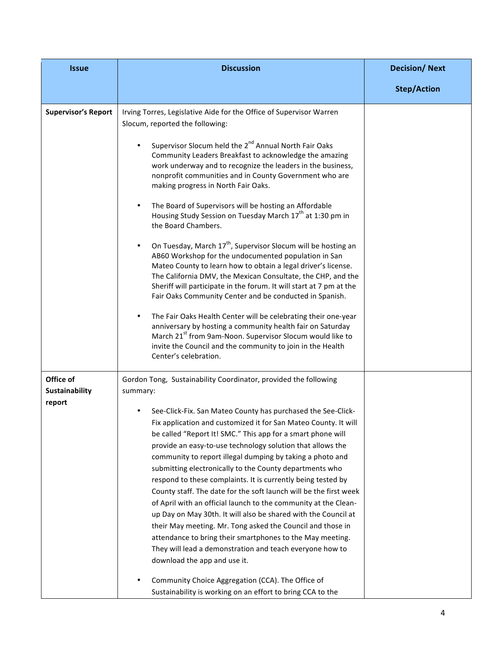| <b>Issue</b>                                 | <b>Discussion</b>                                                                                                                                                                                                                                                                                                                                                                                                                                                                                                                                        | <b>Decision/Next</b> |
|----------------------------------------------|----------------------------------------------------------------------------------------------------------------------------------------------------------------------------------------------------------------------------------------------------------------------------------------------------------------------------------------------------------------------------------------------------------------------------------------------------------------------------------------------------------------------------------------------------------|----------------------|
|                                              |                                                                                                                                                                                                                                                                                                                                                                                                                                                                                                                                                          | <b>Step/Action</b>   |
| <b>Supervisor's Report</b>                   | Irving Torres, Legislative Aide for the Office of Supervisor Warren<br>Slocum, reported the following:                                                                                                                                                                                                                                                                                                                                                                                                                                                   |                      |
|                                              | Supervisor Slocum held the 2 <sup>nd</sup> Annual North Fair Oaks<br>Community Leaders Breakfast to acknowledge the amazing<br>work underway and to recognize the leaders in the business,<br>nonprofit communities and in County Government who are<br>making progress in North Fair Oaks.                                                                                                                                                                                                                                                              |                      |
|                                              | The Board of Supervisors will be hosting an Affordable<br>Housing Study Session on Tuesday March 17 <sup>th</sup> at 1:30 pm in<br>the Board Chambers.                                                                                                                                                                                                                                                                                                                                                                                                   |                      |
|                                              | On Tuesday, March 17 <sup>th</sup> , Supervisor Slocum will be hosting an<br>AB60 Workshop for the undocumented population in San<br>Mateo County to learn how to obtain a legal driver's license.<br>The California DMV, the Mexican Consultate, the CHP, and the<br>Sheriff will participate in the forum. It will start at 7 pm at the<br>Fair Oaks Community Center and be conducted in Spanish.                                                                                                                                                     |                      |
|                                              | The Fair Oaks Health Center will be celebrating their one-year<br>anniversary by hosting a community health fair on Saturday<br>March 21 <sup>st</sup> from 9am-Noon. Supervisor Slocum would like to<br>invite the Council and the community to join in the Health<br>Center's celebration.                                                                                                                                                                                                                                                             |                      |
| Office of<br><b>Sustainability</b><br>report | Gordon Tong, Sustainability Coordinator, provided the following<br>summary:<br>See-Click-Fix. San Mateo County has purchased the See-Click-<br>Fix application and customized it for San Mateo County. It will<br>be called "Report It! SMC." This app for a smart phone will<br>provide an easy-to-use technology solution that allows the<br>community to report illegal dumping by taking a photo and                                                                                                                                                 |                      |
|                                              | submitting electronically to the County departments who<br>respond to these complaints. It is currently being tested by<br>County staff. The date for the soft launch will be the first week<br>of April with an official launch to the community at the Clean-<br>up Day on May 30th. It will also be shared with the Council at<br>their May meeting. Mr. Tong asked the Council and those in<br>attendance to bring their smartphones to the May meeting.<br>They will lead a demonstration and teach everyone how to<br>download the app and use it. |                      |
|                                              | Community Choice Aggregation (CCA). The Office of<br>Sustainability is working on an effort to bring CCA to the                                                                                                                                                                                                                                                                                                                                                                                                                                          |                      |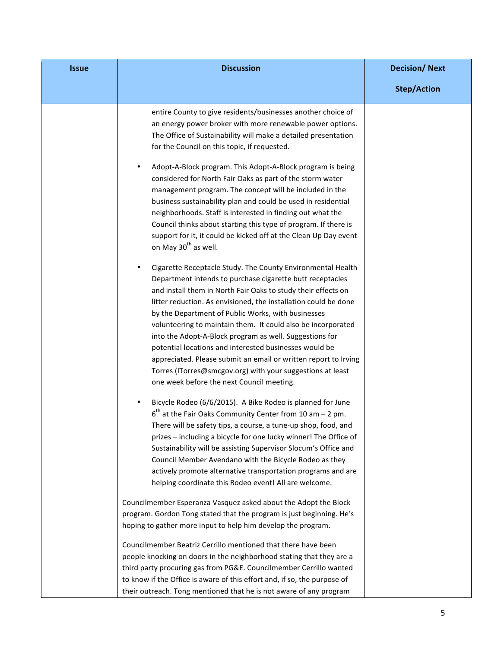| <b>Issue</b> | <b>Discussion</b>                                                                                                                                                                                                                                                                                                                                                                                                                                                                                                                                                                                                                                                                     | <b>Decision/Next</b> |
|--------------|---------------------------------------------------------------------------------------------------------------------------------------------------------------------------------------------------------------------------------------------------------------------------------------------------------------------------------------------------------------------------------------------------------------------------------------------------------------------------------------------------------------------------------------------------------------------------------------------------------------------------------------------------------------------------------------|----------------------|
|              |                                                                                                                                                                                                                                                                                                                                                                                                                                                                                                                                                                                                                                                                                       | <b>Step/Action</b>   |
|              | entire County to give residents/businesses another choice of<br>an energy power broker with more renewable power options.<br>The Office of Sustainability will make a detailed presentation<br>for the Council on this topic, if requested.                                                                                                                                                                                                                                                                                                                                                                                                                                           |                      |
|              | Adopt-A-Block program. This Adopt-A-Block program is being<br>considered for North Fair Oaks as part of the storm water<br>management program. The concept will be included in the<br>business sustainability plan and could be used in residential<br>neighborhoods. Staff is interested in finding out what the<br>Council thinks about starting this type of program. If there is<br>support for it, it could be kicked off at the Clean Up Day event<br>on May 30 <sup>th</sup> as well.                                                                                                                                                                                          |                      |
|              | Cigarette Receptacle Study. The County Environmental Health<br>Department intends to purchase cigarette butt receptacles<br>and install them in North Fair Oaks to study their effects on<br>litter reduction. As envisioned, the installation could be done<br>by the Department of Public Works, with businesses<br>volunteering to maintain them. It could also be incorporated<br>into the Adopt-A-Block program as well. Suggestions for<br>potential locations and interested businesses would be<br>appreciated. Please submit an email or written report to Irving<br>Torres (ITorres@smcgov.org) with your suggestions at least<br>one week before the next Council meeting. |                      |
|              | Bicycle Rodeo (6/6/2015). A Bike Rodeo is planned for June<br>$6th$ at the Fair Oaks Community Center from 10 am – 2 pm.<br>There will be safety tips, a course, a tune-up shop, food, and<br>prizes - including a bicycle for one lucky winner! The Office of<br>Sustainability will be assisting Supervisor Slocum's Office and<br>Council Member Avendano with the Bicycle Rodeo as they<br>actively promote alternative transportation programs and are<br>helping coordinate this Rodeo event! All are welcome.                                                                                                                                                                  |                      |
|              | Councilmember Esperanza Vasquez asked about the Adopt the Block<br>program. Gordon Tong stated that the program is just beginning. He's<br>hoping to gather more input to help him develop the program.                                                                                                                                                                                                                                                                                                                                                                                                                                                                               |                      |
|              | Councilmember Beatriz Cerrillo mentioned that there have been<br>people knocking on doors in the neighborhood stating that they are a<br>third party procuring gas from PG&E. Councilmember Cerrillo wanted<br>to know if the Office is aware of this effort and, if so, the purpose of<br>their outreach. Tong mentioned that he is not aware of any program                                                                                                                                                                                                                                                                                                                         |                      |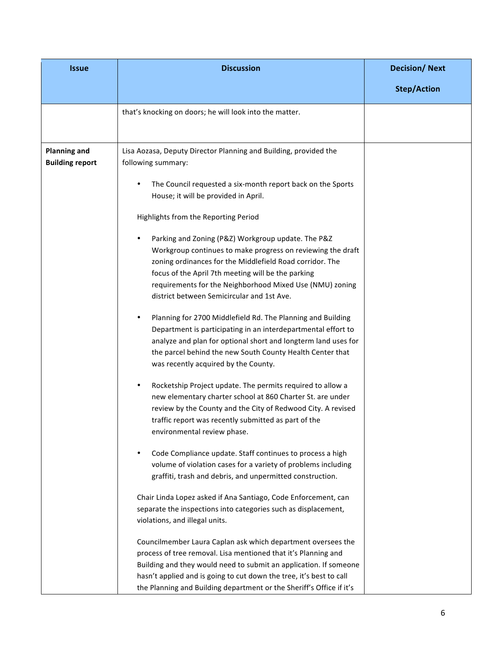| <b>Issue</b>                                  | <b>Discussion</b>                                                                                                                                                                                                                                                                                                                                          | <b>Decision/Next</b> |
|-----------------------------------------------|------------------------------------------------------------------------------------------------------------------------------------------------------------------------------------------------------------------------------------------------------------------------------------------------------------------------------------------------------------|----------------------|
|                                               |                                                                                                                                                                                                                                                                                                                                                            | <b>Step/Action</b>   |
|                                               | that's knocking on doors; he will look into the matter.                                                                                                                                                                                                                                                                                                    |                      |
| <b>Planning and</b><br><b>Building report</b> | Lisa Aozasa, Deputy Director Planning and Building, provided the<br>following summary:                                                                                                                                                                                                                                                                     |                      |
|                                               | The Council requested a six-month report back on the Sports<br>House; it will be provided in April.                                                                                                                                                                                                                                                        |                      |
|                                               | Highlights from the Reporting Period                                                                                                                                                                                                                                                                                                                       |                      |
|                                               | Parking and Zoning (P&Z) Workgroup update. The P&Z<br>$\bullet$<br>Workgroup continues to make progress on reviewing the draft<br>zoning ordinances for the Middlefield Road corridor. The<br>focus of the April 7th meeting will be the parking<br>requirements for the Neighborhood Mixed Use (NMU) zoning<br>district between Semicircular and 1st Ave. |                      |
|                                               | Planning for 2700 Middlefield Rd. The Planning and Building<br>$\bullet$<br>Department is participating in an interdepartmental effort to<br>analyze and plan for optional short and longterm land uses for<br>the parcel behind the new South County Health Center that<br>was recently acquired by the County.                                           |                      |
|                                               | Rocketship Project update. The permits required to allow a<br>$\bullet$<br>new elementary charter school at 860 Charter St. are under<br>review by the County and the City of Redwood City. A revised<br>traffic report was recently submitted as part of the<br>environmental review phase.                                                               |                      |
|                                               | Code Compliance update. Staff continues to process a high<br>volume of violation cases for a variety of problems including<br>graffiti, trash and debris, and unpermitted construction.                                                                                                                                                                    |                      |
|                                               | Chair Linda Lopez asked if Ana Santiago, Code Enforcement, can<br>separate the inspections into categories such as displacement,<br>violations, and illegal units.                                                                                                                                                                                         |                      |
|                                               | Councilmember Laura Caplan ask which department oversees the<br>process of tree removal. Lisa mentioned that it's Planning and<br>Building and they would need to submit an application. If someone<br>hasn't applied and is going to cut down the tree, it's best to call<br>the Planning and Building department or the Sheriff's Office if it's         |                      |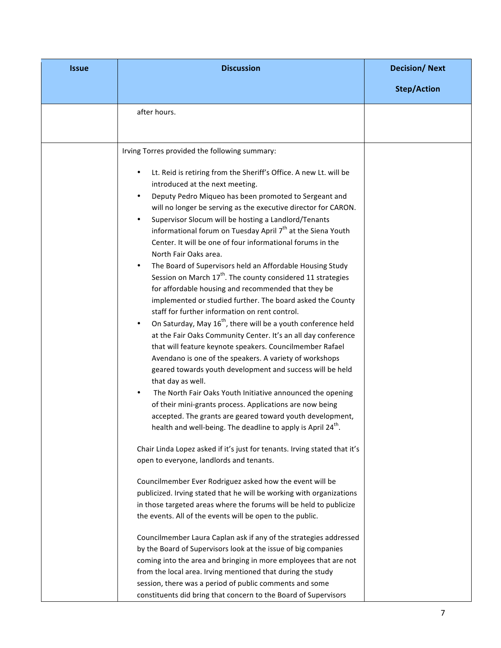| <b>Issue</b> | <b>Discussion</b>                                                                                                                                                                                                                                                                                                                                                                                                                                                                                                                                                                                                                                                                                                                                                                                                                                                                                                                                                                                                                                                                                                                                                                                                                                                                                                                                                                                  | <b>Decision/Next</b> |
|--------------|----------------------------------------------------------------------------------------------------------------------------------------------------------------------------------------------------------------------------------------------------------------------------------------------------------------------------------------------------------------------------------------------------------------------------------------------------------------------------------------------------------------------------------------------------------------------------------------------------------------------------------------------------------------------------------------------------------------------------------------------------------------------------------------------------------------------------------------------------------------------------------------------------------------------------------------------------------------------------------------------------------------------------------------------------------------------------------------------------------------------------------------------------------------------------------------------------------------------------------------------------------------------------------------------------------------------------------------------------------------------------------------------------|----------------------|
|              |                                                                                                                                                                                                                                                                                                                                                                                                                                                                                                                                                                                                                                                                                                                                                                                                                                                                                                                                                                                                                                                                                                                                                                                                                                                                                                                                                                                                    | <b>Step/Action</b>   |
|              | after hours.                                                                                                                                                                                                                                                                                                                                                                                                                                                                                                                                                                                                                                                                                                                                                                                                                                                                                                                                                                                                                                                                                                                                                                                                                                                                                                                                                                                       |                      |
|              | Irving Torres provided the following summary:                                                                                                                                                                                                                                                                                                                                                                                                                                                                                                                                                                                                                                                                                                                                                                                                                                                                                                                                                                                                                                                                                                                                                                                                                                                                                                                                                      |                      |
|              | Lt. Reid is retiring from the Sheriff's Office. A new Lt. will be<br>introduced at the next meeting.<br>Deputy Pedro Miqueo has been promoted to Sergeant and<br>will no longer be serving as the executive director for CARON.<br>Supervisor Slocum will be hosting a Landlord/Tenants<br>informational forum on Tuesday April 7 <sup>th</sup> at the Siena Youth<br>Center. It will be one of four informational forums in the<br>North Fair Oaks area.<br>The Board of Supervisors held an Affordable Housing Study<br>Session on March 17 <sup>th</sup> . The county considered 11 strategies<br>for affordable housing and recommended that they be<br>implemented or studied further. The board asked the County<br>staff for further information on rent control.<br>On Saturday, May 16 <sup>th</sup> , there will be a youth conference held<br>at the Fair Oaks Community Center. It's an all day conference<br>that will feature keynote speakers. Councilmember Rafael<br>Avendano is one of the speakers. A variety of workshops<br>geared towards youth development and success will be held<br>that day as well.<br>The North Fair Oaks Youth Initiative announced the opening<br>of their mini-grants process. Applications are now being<br>accepted. The grants are geared toward youth development,<br>health and well-being. The deadline to apply is April 24 <sup>th</sup> . |                      |
|              | Chair Linda Lopez asked if it's just for tenants. Irving stated that it's<br>open to everyone, landlords and tenants.                                                                                                                                                                                                                                                                                                                                                                                                                                                                                                                                                                                                                                                                                                                                                                                                                                                                                                                                                                                                                                                                                                                                                                                                                                                                              |                      |
|              | Councilmember Ever Rodriguez asked how the event will be<br>publicized. Irving stated that he will be working with organizations<br>in those targeted areas where the forums will be held to publicize<br>the events. All of the events will be open to the public.                                                                                                                                                                                                                                                                                                                                                                                                                                                                                                                                                                                                                                                                                                                                                                                                                                                                                                                                                                                                                                                                                                                                |                      |
|              | Councilmember Laura Caplan ask if any of the strategies addressed<br>by the Board of Supervisors look at the issue of big companies<br>coming into the area and bringing in more employees that are not<br>from the local area. Irving mentioned that during the study<br>session, there was a period of public comments and some<br>constituents did bring that concern to the Board of Supervisors                                                                                                                                                                                                                                                                                                                                                                                                                                                                                                                                                                                                                                                                                                                                                                                                                                                                                                                                                                                               |                      |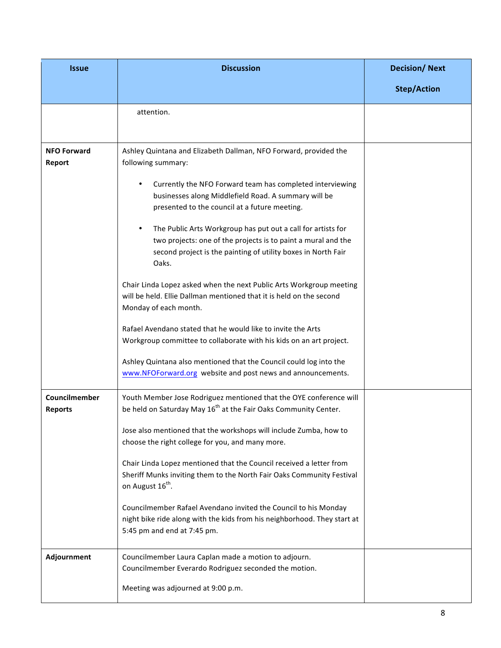| <b>Issue</b>                    | <b>Discussion</b>                                                                                                                                                                                                    | <b>Decision/Next</b> |
|---------------------------------|----------------------------------------------------------------------------------------------------------------------------------------------------------------------------------------------------------------------|----------------------|
|                                 |                                                                                                                                                                                                                      | <b>Step/Action</b>   |
|                                 | attention.                                                                                                                                                                                                           |                      |
| <b>NFO Forward</b><br>Report    | Ashley Quintana and Elizabeth Dallman, NFO Forward, provided the<br>following summary:                                                                                                                               |                      |
|                                 | Currently the NFO Forward team has completed interviewing<br>٠<br>businesses along Middlefield Road. A summary will be<br>presented to the council at a future meeting.                                              |                      |
|                                 | The Public Arts Workgroup has put out a call for artists for<br>$\bullet$<br>two projects: one of the projects is to paint a mural and the<br>second project is the painting of utility boxes in North Fair<br>Oaks. |                      |
|                                 | Chair Linda Lopez asked when the next Public Arts Workgroup meeting<br>will be held. Ellie Dallman mentioned that it is held on the second<br>Monday of each month.                                                  |                      |
|                                 | Rafael Avendano stated that he would like to invite the Arts<br>Workgroup committee to collaborate with his kids on an art project.                                                                                  |                      |
|                                 | Ashley Quintana also mentioned that the Council could log into the<br>www.NFOForward.org website and post news and announcements.                                                                                    |                      |
| Councilmember<br><b>Reports</b> | Youth Member Jose Rodriguez mentioned that the OYE conference will<br>be held on Saturday May 16 <sup>th</sup> at the Fair Oaks Community Center.                                                                    |                      |
|                                 | Jose also mentioned that the workshops will include Zumba, how to<br>choose the right college for you, and many more.                                                                                                |                      |
|                                 | Chair Linda Lopez mentioned that the Council received a letter from<br>Sheriff Munks inviting them to the North Fair Oaks Community Festival<br>on August 16 <sup>th</sup> .                                         |                      |
|                                 | Councilmember Rafael Avendano invited the Council to his Monday<br>night bike ride along with the kids from his neighborhood. They start at<br>5:45 pm and end at 7:45 pm.                                           |                      |
| Adjournment                     | Councilmember Laura Caplan made a motion to adjourn.<br>Councilmember Everardo Rodriguez seconded the motion.                                                                                                        |                      |
|                                 | Meeting was adjourned at 9:00 p.m.                                                                                                                                                                                   |                      |